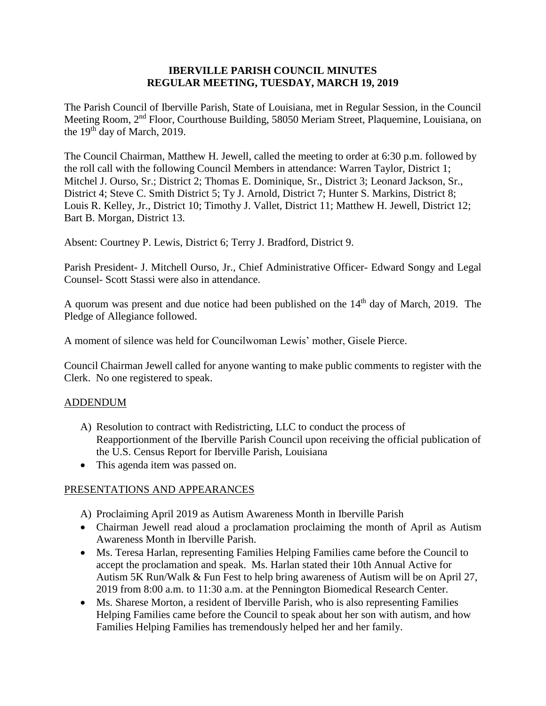#### **IBERVILLE PARISH COUNCIL MINUTES REGULAR MEETING, TUESDAY, MARCH 19, 2019**

The Parish Council of Iberville Parish, State of Louisiana, met in Regular Session, in the Council Meeting Room, 2nd Floor, Courthouse Building, 58050 Meriam Street, Plaquemine, Louisiana, on the 19<sup>th</sup> day of March, 2019.

The Council Chairman, Matthew H. Jewell, called the meeting to order at 6:30 p.m. followed by the roll call with the following Council Members in attendance: Warren Taylor, District 1; Mitchel J. Ourso, Sr.; District 2; Thomas E. Dominique, Sr., District 3; Leonard Jackson, Sr., District 4; Steve C. Smith District 5; Ty J. Arnold, District 7; Hunter S. Markins, District 8; Louis R. Kelley, Jr., District 10; Timothy J. Vallet, District 11; Matthew H. Jewell, District 12; Bart B. Morgan, District 13.

Absent: Courtney P. Lewis, District 6; Terry J. Bradford, District 9.

Parish President- J. Mitchell Ourso, Jr., Chief Administrative Officer- Edward Songy and Legal Counsel- Scott Stassi were also in attendance.

A quorum was present and due notice had been published on the  $14<sup>th</sup>$  day of March, 2019. The Pledge of Allegiance followed.

A moment of silence was held for Councilwoman Lewis' mother, Gisele Pierce.

Council Chairman Jewell called for anyone wanting to make public comments to register with the Clerk. No one registered to speak.

# ADDENDUM

- A) Resolution to contract with Redistricting, LLC to conduct the process of Reapportionment of the Iberville Parish Council upon receiving the official publication of the U.S. Census Report for Iberville Parish, Louisiana
- This agenda item was passed on.

#### PRESENTATIONS AND APPEARANCES

- A) Proclaiming April 2019 as Autism Awareness Month in Iberville Parish
- Chairman Jewell read aloud a proclamation proclaiming the month of April as Autism Awareness Month in Iberville Parish.
- Ms. Teresa Harlan, representing Families Helping Families came before the Council to accept the proclamation and speak. Ms. Harlan stated their 10th Annual Active for Autism 5K Run/Walk & Fun Fest to help bring awareness of Autism will be on April 27, 2019 from 8:00 a.m. to 11:30 a.m. at the Pennington Biomedical Research Center.
- Ms. Sharese Morton, a resident of Iberville Parish, who is also representing Families Helping Families came before the Council to speak about her son with autism, and how Families Helping Families has tremendously helped her and her family.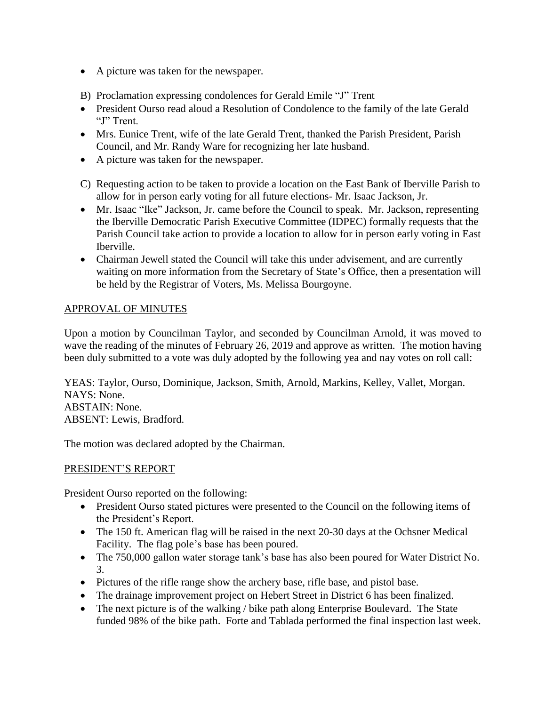- A picture was taken for the newspaper.
- B) Proclamation expressing condolences for Gerald Emile "J" Trent
- President Ourso read aloud a Resolution of Condolence to the family of the late Gerald "J" Trent.
- Mrs. Eunice Trent, wife of the late Gerald Trent, thanked the Parish President, Parish Council, and Mr. Randy Ware for recognizing her late husband.
- A picture was taken for the newspaper.
- C) Requesting action to be taken to provide a location on the East Bank of Iberville Parish to allow for in person early voting for all future elections- Mr. Isaac Jackson, Jr.
- Mr. Isaac "Ike" Jackson, Jr. came before the Council to speak. Mr. Jackson, representing the Iberville Democratic Parish Executive Committee (IDPEC) formally requests that the Parish Council take action to provide a location to allow for in person early voting in East Iberville.
- Chairman Jewell stated the Council will take this under advisement, and are currently waiting on more information from the Secretary of State's Office, then a presentation will be held by the Registrar of Voters, Ms. Melissa Bourgoyne.

# APPROVAL OF MINUTES

Upon a motion by Councilman Taylor, and seconded by Councilman Arnold, it was moved to wave the reading of the minutes of February 26, 2019 and approve as written. The motion having been duly submitted to a vote was duly adopted by the following yea and nay votes on roll call:

YEAS: Taylor, Ourso, Dominique, Jackson, Smith, Arnold, Markins, Kelley, Vallet, Morgan. NAYS: None. ABSTAIN: None. ABSENT: Lewis, Bradford.

The motion was declared adopted by the Chairman.

# PRESIDENT'S REPORT

President Ourso reported on the following:

- President Ourso stated pictures were presented to the Council on the following items of the President's Report.
- The 150 ft. American flag will be raised in the next 20-30 days at the Ochsner Medical Facility. The flag pole's base has been poured.
- The 750,000 gallon water storage tank's base has also been poured for Water District No. 3.
- Pictures of the rifle range show the archery base, rifle base, and pistol base.
- The drainage improvement project on Hebert Street in District 6 has been finalized.
- The next picture is of the walking / bike path along Enterprise Boulevard. The State funded 98% of the bike path. Forte and Tablada performed the final inspection last week.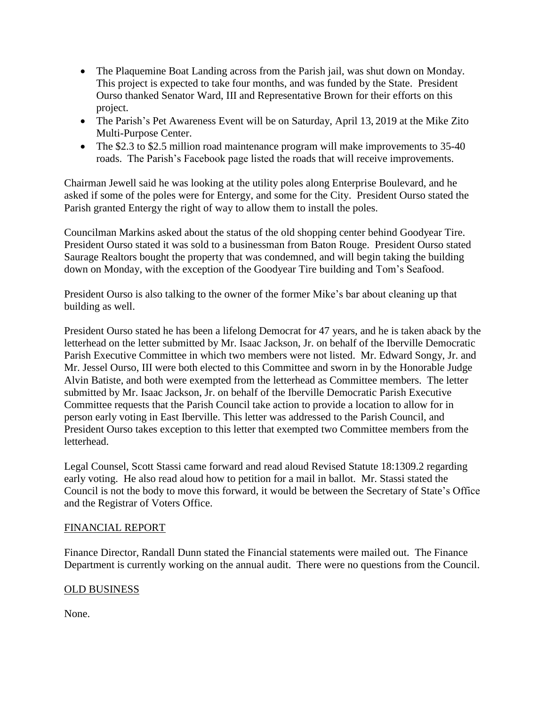- The Plaquemine Boat Landing across from the Parish jail, was shut down on Monday. This project is expected to take four months, and was funded by the State. President Ourso thanked Senator Ward, III and Representative Brown for their efforts on this project.
- The Parish's Pet Awareness Event will be on Saturday, April 13, 2019 at the Mike Zito Multi-Purpose Center.
- The \$2.3 to \$2.5 million road maintenance program will make improvements to 35-40 roads. The Parish's Facebook page listed the roads that will receive improvements.

Chairman Jewell said he was looking at the utility poles along Enterprise Boulevard, and he asked if some of the poles were for Entergy, and some for the City. President Ourso stated the Parish granted Entergy the right of way to allow them to install the poles.

Councilman Markins asked about the status of the old shopping center behind Goodyear Tire. President Ourso stated it was sold to a businessman from Baton Rouge. President Ourso stated Saurage Realtors bought the property that was condemned, and will begin taking the building down on Monday, with the exception of the Goodyear Tire building and Tom's Seafood.

President Ourso is also talking to the owner of the former Mike's bar about cleaning up that building as well.

President Ourso stated he has been a lifelong Democrat for 47 years, and he is taken aback by the letterhead on the letter submitted by Mr. Isaac Jackson, Jr. on behalf of the Iberville Democratic Parish Executive Committee in which two members were not listed. Mr. Edward Songy, Jr. and Mr. Jessel Ourso, III were both elected to this Committee and sworn in by the Honorable Judge Alvin Batiste, and both were exempted from the letterhead as Committee members. The letter submitted by Mr. Isaac Jackson, Jr. on behalf of the Iberville Democratic Parish Executive Committee requests that the Parish Council take action to provide a location to allow for in person early voting in East Iberville. This letter was addressed to the Parish Council, and President Ourso takes exception to this letter that exempted two Committee members from the letterhead.

Legal Counsel, Scott Stassi came forward and read aloud Revised Statute 18:1309.2 regarding early voting. He also read aloud how to petition for a mail in ballot. Mr. Stassi stated the Council is not the body to move this forward, it would be between the Secretary of State's Office and the Registrar of Voters Office.

# FINANCIAL REPORT

Finance Director, Randall Dunn stated the Financial statements were mailed out. The Finance Department is currently working on the annual audit. There were no questions from the Council.

# OLD BUSINESS

None.